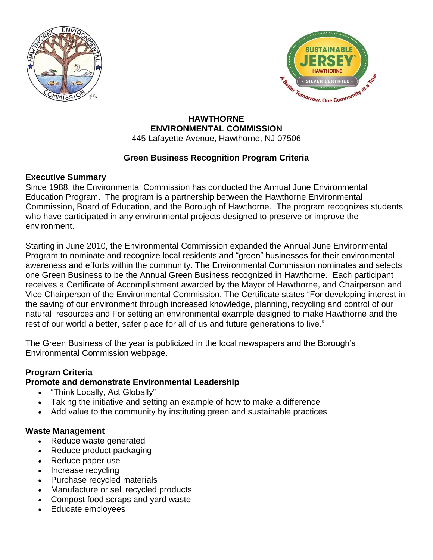



#### **HAWTHORNE ENVIRONMENTAL COMMISSION** 445 Lafayette Avenue, Hawthorne, NJ 07506

# **Green Business Recognition Program Criteria**

# **Executive Summary**

Since 1988, the Environmental Commission has conducted the Annual June Environmental Education Program. The program is a partnership between the Hawthorne Environmental Commission, Board of Education, and the Borough of Hawthorne. The program recognizes students who have participated in any environmental projects designed to preserve or improve the environment.

Starting in June 2010, the Environmental Commission expanded the Annual June Environmental Program to nominate and recognize local residents and "green" businesses for their environmental awareness and efforts within the community. The Environmental Commission nominates and selects one Green Business to be the Annual Green Business recognized in Hawthorne. Each participant receives a Certificate of Accomplishment awarded by the Mayor of Hawthorne, and Chairperson and Vice Chairperson of the Environmental Commission. The Certificate states "For developing interest in the saving of our environment through increased knowledge, planning, recycling and control of our natural resources and For setting an environmental example designed to make Hawthorne and the rest of our world a better, safer place for all of us and future generations to live."

The Green Business of the year is publicized in the local newspapers and the Borough's Environmental Commission webpage.

# **Program Criteria**

# **Promote and demonstrate Environmental Leadership**

- "Think Locally, Act Globally"
- Taking the initiative and setting an example of how to make a difference
- Add value to the community by instituting green and sustainable practices

### **Waste Management**

- Reduce waste generated
- Reduce product packaging
- Reduce paper use
- Increase recycling
- Purchase recycled materials
- Manufacture or sell recycled products
- Compost food scraps and yard waste
- Educate employees